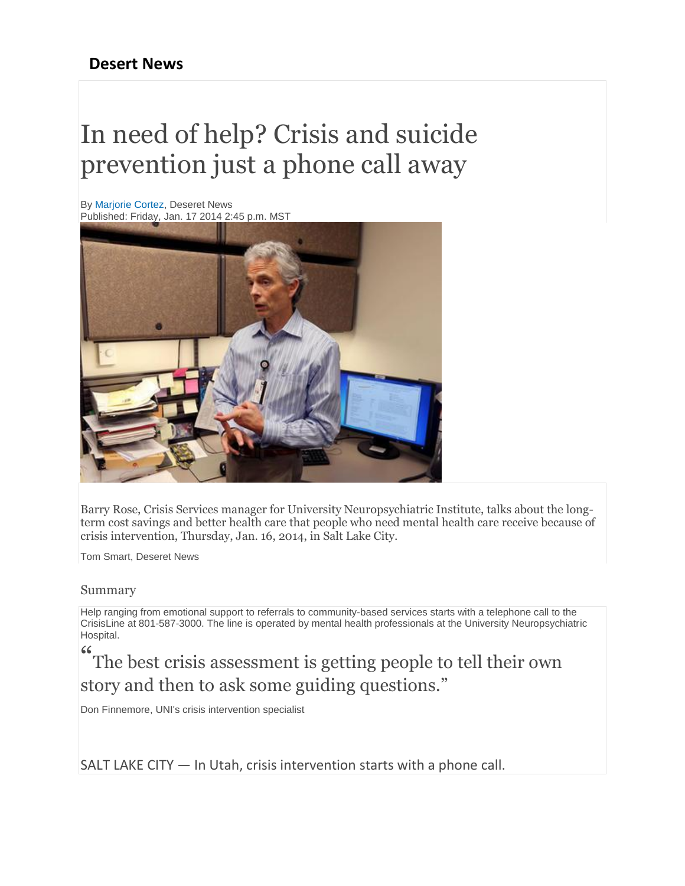## **Desert News**

## In need of help? Crisis and suicide prevention just a phone call away

By [Marjorie Cortez,](http://www.deseretnews.com/author/16/Marjorie-Cortez.html) Deseret News Published: Friday, Jan. 17 2014 2:45 p.m. MST



Barry Rose, Crisis Services manager for University Neuropsychiatric Institute, talks about the longterm cost savings and better health care that people who need mental health care receive because of crisis intervention, Thursday, Jan. 16, 2014, in Salt Lake City.

Tom Smart, Deseret News

## Summary

Help ranging from emotional support to referrals to community-based services starts with a telephone call to the CrisisLine at 801-587-3000. The line is operated by mental health professionals at the University Neuropsychiatric Hospital.

" The best crisis assessment is getting people to tell their own story and then to ask some guiding questions."

Don Finnemore, UNI's crisis intervention specialist

SALT LAKE CITY — In Utah, crisis intervention starts with a phone call.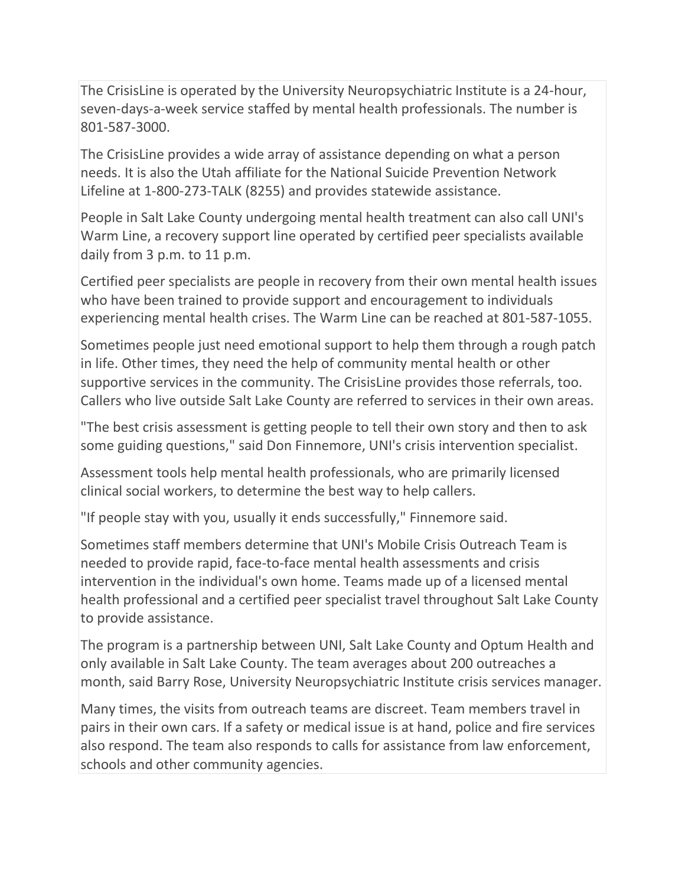The CrisisLine is operated by the University Neuropsychiatric Institute is a 24-hour, seven-days-a-week service staffed by mental health professionals. The number is 801-587-3000.

The CrisisLine provides a wide array of assistance depending on what a person needs. It is also the Utah affiliate for the National Suicide Prevention Network Lifeline at 1-800-273-TALK (8255) and provides statewide assistance.

People in Salt Lake County undergoing mental health treatment can also call UNI's Warm Line, a recovery support line operated by certified peer specialists available daily from 3 p.m. to 11 p.m.

Certified peer specialists are people in recovery from their own mental health issues who have been trained to provide support and encouragement to individuals experiencing mental health crises. The Warm Line can be reached at 801-587-1055.

Sometimes people just need emotional support to help them through a rough patch in life. Other times, they need the help of community mental health or other supportive services in the community. The CrisisLine provides those referrals, too. Callers who live outside Salt Lake County are referred to services in their own areas.

"The best crisis assessment is getting people to tell their own story and then to ask some guiding questions," said Don Finnemore, UNI's crisis intervention specialist.

Assessment tools help mental health professionals, who are primarily licensed clinical social workers, to determine the best way to help callers.

"If people stay with you, usually it ends successfully," Finnemore said.

Sometimes staff members determine that UNI's Mobile Crisis Outreach Team is needed to provide rapid, face-to-face mental health assessments and crisis intervention in the individual's own home. Teams made up of a licensed mental health professional and a certified peer specialist travel throughout Salt Lake County to provide assistance.

The program is a partnership between UNI, Salt Lake County and Optum Health and only available in Salt Lake County. The team averages about 200 outreaches a month, said Barry Rose, University Neuropsychiatric Institute crisis services manager.

Many times, the visits from outreach teams are discreet. Team members travel in pairs in their own cars. If a safety or medical issue is at hand, police and fire services also respond. The team also responds to calls for assistance from law enforcement, schools and other community agencies.